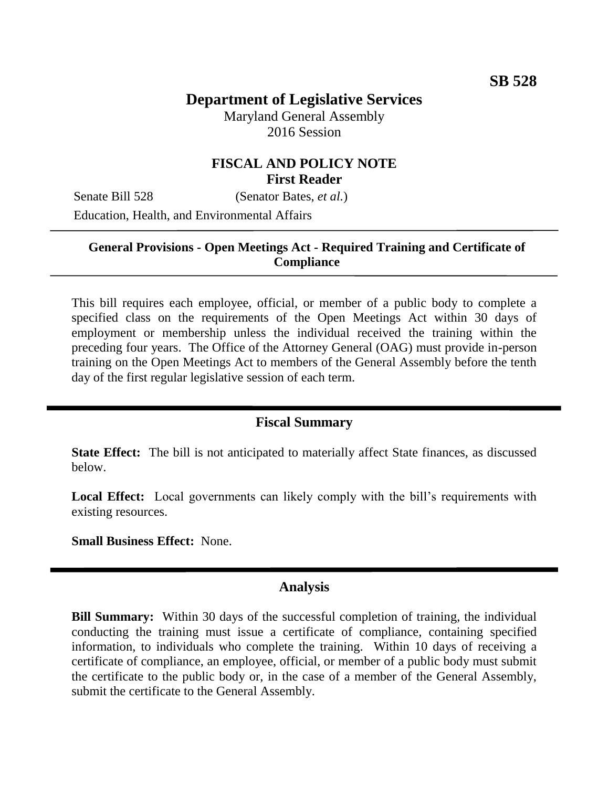# **Department of Legislative Services**

Maryland General Assembly 2016 Session

## **FISCAL AND POLICY NOTE First Reader**

Senate Bill 528 (Senator Bates, *et al.*) Education, Health, and Environmental Affairs

### **General Provisions - Open Meetings Act - Required Training and Certificate of Compliance**

This bill requires each employee, official, or member of a public body to complete a specified class on the requirements of the Open Meetings Act within 30 days of employment or membership unless the individual received the training within the preceding four years. The Office of the Attorney General (OAG) must provide in-person training on the Open Meetings Act to members of the General Assembly before the tenth day of the first regular legislative session of each term.

#### **Fiscal Summary**

**State Effect:** The bill is not anticipated to materially affect State finances, as discussed below.

Local Effect: Local governments can likely comply with the bill's requirements with existing resources.

**Small Business Effect:** None.

#### **Analysis**

**Bill Summary:** Within 30 days of the successful completion of training, the individual conducting the training must issue a certificate of compliance, containing specified information, to individuals who complete the training. Within 10 days of receiving a certificate of compliance, an employee, official, or member of a public body must submit the certificate to the public body or, in the case of a member of the General Assembly, submit the certificate to the General Assembly.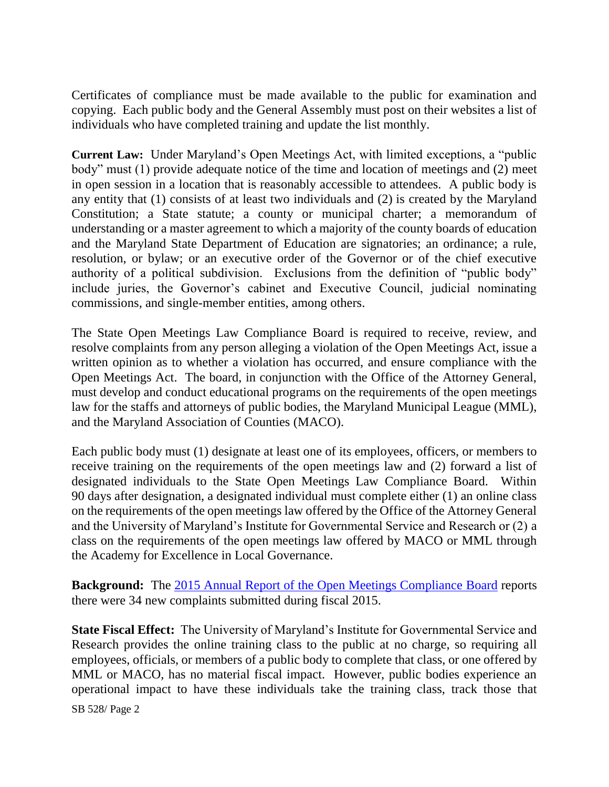Certificates of compliance must be made available to the public for examination and copying. Each public body and the General Assembly must post on their websites a list of individuals who have completed training and update the list monthly.

**Current Law:** Under Maryland's Open Meetings Act, with limited exceptions, a "public body" must (1) provide adequate notice of the time and location of meetings and (2) meet in open session in a location that is reasonably accessible to attendees. A public body is any entity that (1) consists of at least two individuals and (2) is created by the Maryland Constitution; a State statute; a county or municipal charter; a memorandum of understanding or a master agreement to which a majority of the county boards of education and the Maryland State Department of Education are signatories; an ordinance; a rule, resolution, or bylaw; or an executive order of the Governor or of the chief executive authority of a political subdivision. Exclusions from the definition of "public body" include juries, the Governor's cabinet and Executive Council, judicial nominating commissions, and single-member entities, among others.

The State Open Meetings Law Compliance Board is required to receive, review, and resolve complaints from any person alleging a violation of the Open Meetings Act, issue a written opinion as to whether a violation has occurred, and ensure compliance with the Open Meetings Act. The board, in conjunction with the Office of the Attorney General, must develop and conduct educational programs on the requirements of the open meetings law for the staffs and attorneys of public bodies, the Maryland Municipal League (MML), and the Maryland Association of Counties (MACO).

Each public body must (1) designate at least one of its employees, officers, or members to receive training on the requirements of the open meetings law and (2) forward a list of designated individuals to the State Open Meetings Law Compliance Board. Within 90 days after designation, a designated individual must complete either (1) an online class on the requirements of the open meetings law offered by the Office of the Attorney General and the University of Maryland's Institute for Governmental Service and Research or (2) a class on the requirements of the open meetings law offered by MACO or MML through the Academy for Excellence in Local Governance.

**Background:** The [2015 Annual Report of the Open Meetings Compliance](http://www.oag.state.md.us/Opengov/Openmeetings/23Annual_Report_FY2015.pdf) Board reports there were 34 new complaints submitted during fiscal 2015.

**State Fiscal Effect:** The University of Maryland's Institute for Governmental Service and Research provides the online training class to the public at no charge, so requiring all employees, officials, or members of a public body to complete that class, or one offered by MML or MACO, has no material fiscal impact. However, public bodies experience an operational impact to have these individuals take the training class, track those that

SB 528/ Page 2